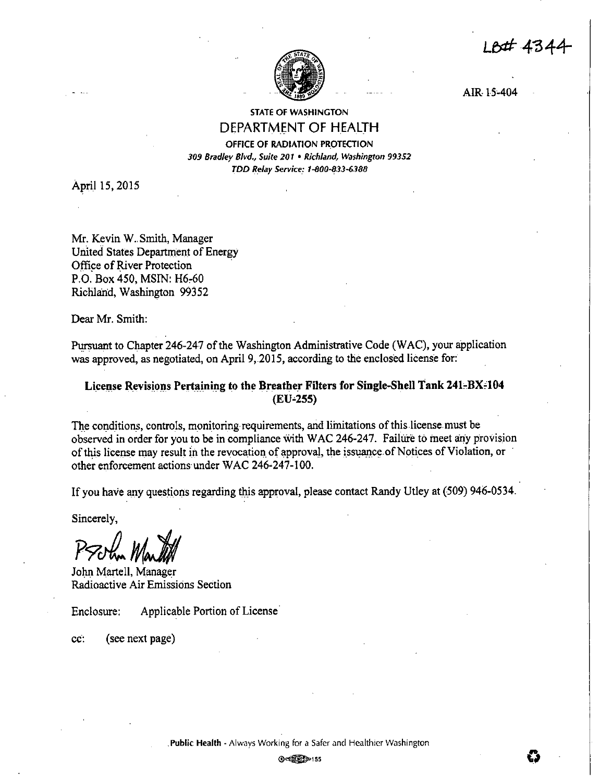LB# 4344



AIR 15-404

# STATE OF WASHINGTON DEPARTMENT OF HEALTH

OFFICE OF RADIATION PROTECTION *309 Bradley Blvd., Suite 201* • *Richland, Washington 99352 TDD R\_elay Service: 1-800-833-6.188* 

April 15, 2015

Mr. Kevin W. Smith, Manager United States Department of Energy Office of River Protection P.O. Box 450, MSIN: H6-60 Richland, Washington 99352

Dear Mr. Smith:

Pursuant to Chapter 246-247 of the Washington Administrative Code (WAC), your application was approved, as negotiated, on April 9,.2015, according to the enclosed license for:

# **License Revisions Pertaining to the Breather Filters for Single-Shell Tank 241-BX-104 (EU-255)**

The conditions, controls, monitoring requirements, and limitations of this license must be observed in order for you to be in compliance with WAC 246-247. Failure to meet any provision of this license may result in the revocation of approval, the issuance: of Notices of Violation, or other enforcement actions under WAC 246-247-100.

If you have any questions regarding *this* approval, please contact Randy Utley at (509) 946-0534.

Sincerely,

Prothe Martill

John Martell, Manager Radioactive Air Emissions Section

Enclosure: Applicable Portion of License·

cc: (see next page)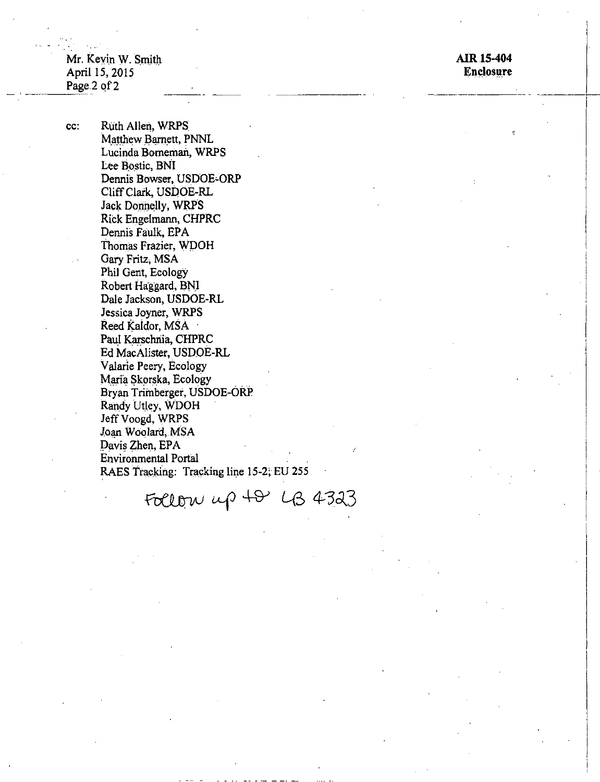Mr. Kevin W. Smith April 15, 2015 Page 2 of 2

cc:

AIR 15-404 **Enclosure** 

Ruth Allen, WRPS Matthew Barnett, PNNL Lucinda Borneman, WRPS Lee Bostic, BNI Dennis Bowser, USDOE-ORP Cliff Clark, USDOE-RL Jack Donnelly, WRPS Rick Engelmann, CHPRC Dennis Faulk, EPA Thomas Frazier, WDOH Gary Fritz, MSA Phil Gent, Ecology Robert Haggard, BNI Dale Jackson, USDOE-RL Jessica Joyner, WRPS Reed Kaldor, MSA Paul Karschnia, CHPRC Ed MacAlister, USDOE-RL Valarie Peery, Ecology Maria Skorska, Ecology Bryan Trimberger, USDOE-ORP Randy Utley, WDOH Jeff Voogd, WRPS Joan Woolard, MSA Davis Zhen, EPA **Environmental Portal** RAES Tracking: Tracking line 15-2; EU 255

Follow up 48 LB 4323